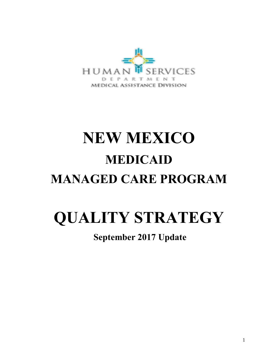

# **NEW MEXICO MEDICAID MANAGED CARE PROGRAM**

## **QUALITY STRATEGY**

## **September 2017 Update**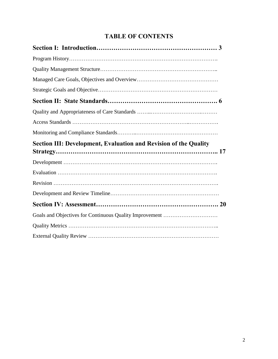## **TABLE OF CONTENTS**

| Section III: Development, Evaluation and Revision of the Quality |
|------------------------------------------------------------------|
|                                                                  |
|                                                                  |
|                                                                  |
|                                                                  |
|                                                                  |
| Goals and Objectives for Continuous Quality Improvement          |
|                                                                  |
|                                                                  |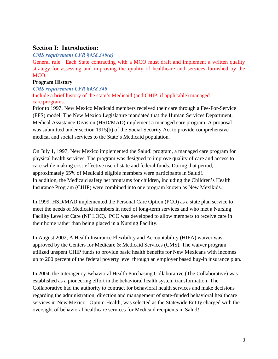## **Section I: Introduction:**

#### *CMS requirement CFR* §*438.340(a)*

General rule. Each State contracting with a MCO must draft and implement a written quality strategy for assessing and improving the quality of healthcare and services furnished by the MCO.

#### **Program History**

#### *CMS requirement CFR* §*438.340*

Include a brief history of the state's Medicaid (and CHIP, if applicable) managed care programs.

Prior to 1997, New Mexico Medicaid members received their care through a Fee-For-Service (FFS) model. The New Mexico Legislature mandated that the Human Services Department, Medical Assistance Division (HSD/MAD) implement a managed care program. A proposal was submitted under section 1915(b) of the Social Security Act to provide comprehensive medical and social services to the State's Medicaid population.

On July 1, 1997, New Mexico implemented the Salud! program, a managed care program for physical health services. The program was designed to improve quality of care and access to care while making cost-effective use of state and federal funds. During that period, approximately 65% of Medicaid eligible members were participants in Salud!. In addition, the Medicaid safety net programs for children, including the Children's Health Insurance Program (CHIP) were combined into one program known as New Mexikids.

In 1999, HSD/MAD implemented the Personal Care Option (PCO) as a state plan service to meet the needs of Medicaid members in need of long-term services and who met a Nursing Facility Level of Care (NF LOC). PCO was developed to allow members to receive care in their home rather than being placed in a Nursing Facility.

In August 2002, A Health Insurance Flexibility and Accountability (HIFA) waiver was approved by the Centers for Medicare & Medicaid Services (CMS). The waiver program utilized unspent CHIP funds to provide basic health benefits for New Mexicans with incomes up to 200 percent of the federal poverty level through an employer based buy-in insurance plan.

In 2004, the Interagency Behavioral Health Purchasing Collaborative (The Collaborative) was established as a pioneering effort in the behavioral health system transformation. The Collaborative had the authority to contract for behavioral health services and make decisions regarding the administration, direction and management of state-funded behavioral healthcare services in New Mexico. Optum Health, was selected as the Statewide Entity charged with the oversight of behavioral healthcare services for Medicaid recipients in Salud!.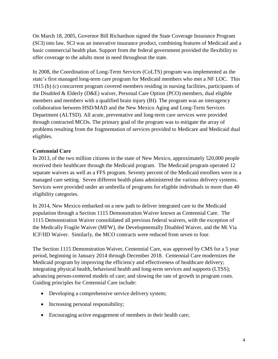On March 18, 2005, Governor Bill Richardson signed the State Coverage Insurance Program (SCI) into law. SCI was an innovative insurance product, combining features of Medicaid and a basic commercial health plan. Support from the federal government provided the flexibility to offer coverage to the adults most in need throughout the state.

In 2008, the Coordination of Long-Term Services (CoLTS) program was implemented as the state's first managed long-term care program for Medicaid members who met a NF LOC. This 1915 (b) (c) concurrent program covered members residing in nursing facilities, participants of the Disabled & Elderly (D&E) waiver, Personal Care Option (PCO) members, dual eligible members and members with a qualified brain injury (BI). The program was an interagency collaboration between HSD/MAD and the New Mexico Aging and Long-Term Services Department (ALTSD). All acute, preventative and long-term care services were provided through contracted MCOs. The primary goal of the program was to mitigate the array of problems resulting from the fragmentation of services provided to Medicare and Medicaid dual eligibles.

#### **Centennial Care**

In 2013, of the two million citizens in the state of New Mexico, approximately 520,000 people received their healthcare through the Medicaid program. The Medicaid program operated 12 separate waivers as well as a FFS program. Seventy percent of the Medicaid enrollees were in a managed care setting. Seven different health plans administered the various delivery systems. Services were provided under an umbrella of programs for eligible individuals in more than 40 eligibility categories.

In 2014, New Mexico embarked on a new path to deliver integrated care to the Medicaid population through a Section 1115 Demonstration Waiver known as Centennial Care. The 1115 Demonstration Waiver consolidated all previous federal waivers, with the exception of the Medically Fragile Waiver (MFW), the Developmentally Disabled Waiver, and the Mi Via ICF/IID Waiver. Similarly, the MCO contracts were reduced from seven to four.

The Section 1115 Demonstration Waiver, Centennial Care, was approved by CMS for a 5 year period, beginning in January 2014 through December 2018. Centennial Care modernizes the Medicaid program by improving the efficiency and effectiveness of healthcare delivery; integrating physical health, behavioral health and long-term services and supports (LTSS); advancing person-centered models of care; and slowing the rate of growth in program costs. Guiding principles for Centennial Care include:

- Developing a comprehensive service delivery system;
- Increasing personal responsibility;
- Encouraging active engagement of members in their health care;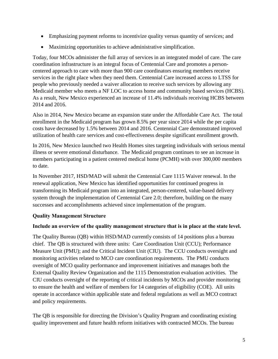- Emphasizing payment reforms to incentivize quality versus quantity of services; and
- Maximizing opportunities to achieve administrative simplification.

Today, four MCOs administer the full array of services in an integrated model of care. The care coordination infrastructure is an integral focus of Centennial Care and promotes a personcentered approach to care with more than 900 care coordinators ensuring members receive services in the right place when they need them. Centennial Care increased access to LTSS for people who previously needed a waiver allocation to receive such services by allowing any Medicaid member who meets a NF LOC to access home and community based services (HCBS). As a result, New Mexico experienced an increase of 11.4% individuals receiving HCBS between 2014 and 2016.

Also in 2014, New Mexico became an expansion state under the Affordable Care Act. The total enrollment in the Medicaid program has grown 8.5% per year since 2014 while the per capita costs have decreased by 1.5% between 2014 and 2016. Centennial Care demonstrated improved utilization of health care services and cost-effectiveness despite significant enrollment growth.

In 2016, New Mexico launched two Health Homes sites targeting individuals with serious mental illness or severe emotional disturbance. The Medicaid program continues to see an increase in members participating in a patient centered medical home (PCMH) with over 300,000 members to date.

In November 2017, HSD/MAD will submit the Centennial Care 1115 Waiver renewal. In the renewal application, New Mexico has identified opportunities for continued progress in transforming its Medicaid program into an integrated, person-centered, value-based delivery system through the implementation of Centennial Care 2.0; therefore, building on the many successes and accomplishments achieved since implementation of the program.

## **Quality Management Structure**

## **Include an overview of the quality management structure that is in place at the state level.**

The Quality Bureau (QB) within HSD/MAD currently consists of 14 positions plus a bureau chief. The QB is structured with three units: Care Coordination Unit (CCU); Performance Measure Unit (PMU); and the Critical Incident Unit (CIU). The CCU conducts oversight and monitoring activities related to MCO care coordination requirements. The PMU conducts oversight of MCO quality performance and improvement initiatives and manages both the External Quality Review Organization and the 1115 Demonstration evaluation activities. The CIU conducts oversight of the reporting of critical incidents by MCOs and provider monitoring to ensure the health and welfare of members for 14 categories of eligibility (COE). All units operate in accordance within applicable state and federal regulations as well as MCO contract and policy requirements.

The QB is responsible for directing the Division's Quality Program and coordinating existing quality improvement and future health reform initiatives with contracted MCOs. The bureau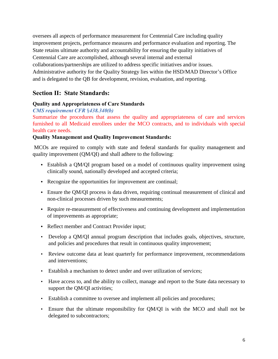oversees all aspects of performance measurement for Centennial Care including quality improvement projects, performance measures and performance evaluation and reporting. The State retains ultimate authority and accountability for ensuring the quality initiatives of Centennial Care are accomplished, although several internal and external collaborations/partnerships are utilized to address specific initiatives and/or issues. Administrative authority for the Quality Strategy lies within the HSD/MAD Director's Office and is delegated to the QB for development, revision, evaluation, and reporting.

## **Section II: State Standards:**

#### **Quality and Appropriateness of Care Standards**

#### *CMS requirement CFR* §*438.340(b)*

Summarize the procedures that assess the quality and appropriateness of care and services furnished to all Medicaid enrollees under the MCO contracts, and to individuals with special health care needs.

#### **Quality Management and Quality Improvement Standards:**

MCOs are required to comply with state and federal standards for quality management and quality improvement (QM/QI) and shall adhere to the following:

- **•** Establish a QM/QI program based on a model of continuous quality improvement using clinically sound, nationally developed and accepted criteria;
- **•** Recognize the opportunities for improvement are continual;
- Ensure the QM/QI process is data driven, requiring continual measurement of clinical and non-clinical processes driven by such measurements;
- **•** Require re-measurement of effectiveness and continuing development and implementation of improvements as appropriate;
- **•** Reflect member and Contract Provider input;
- Develop a QM/QI annual program description that includes goals, objectives, structure, and policies and procedures that result in continuous quality improvement;
- Review outcome data at least quarterly for performance improvement, recommendations and interventions;
- Establish a mechanism to detect under and over utilization of services;
- Have access to, and the ability to collect, manage and report to the State data necessary to support the QM/QI activities;
- Establish a committee to oversee and implement all policies and procedures;
- Ensure that the ultimate responsibility for QM/QI is with the MCO and shall not be delegated to subcontractors;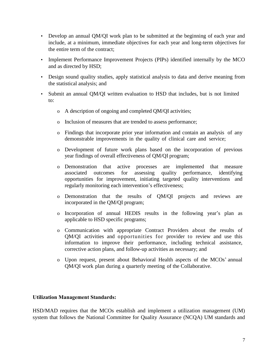- Develop an annual QM/QI work plan to be submitted at the beginning of each year and include, at a minimum, immediate objectives for each year and long-term objectives for the entire term of the contract;
- Implement Performance Improvement Projects (PIPs) identified internally by the MCO and as directed by HSD;
- Design sound quality studies, apply statistical analysis to data and derive meaning from the statistical analysis; and
- Submit an annual QM/QI written evaluation to HSD that includes, but is not limited to:
	- o A description of ongoing and completed QM/QI activities;
	- o Inclusion of measures that are trended to assess performance;
	- o Findings that incorporate prior year information and contain an analysis of any demonstrable improvements in the quality of clinical care and service;
	- o Development of future work plans based on the incorporation of previous year findings of overall effectiveness of QM/QI program;
	- o Demonstration that active processes are implemented that measure associated outcomes for assessing quality performance, identifying opportunities for improvement, initiating targeted quality interventions and regularly monitoring each intervention's effectiveness;
	- o Demonstration that the results of QM/QI projects and reviews are incorporated in the QM/QI program;
	- o Incorporation of annual HEDIS results in the following year's plan as applicable to HSD specific programs;
	- o Communication with appropriate Contract Providers about the results of QM/QI activities and opportunities for provider to review and use this information to improve their performance, including technical assistance, corrective action plans, and follow-up activities as necessary; and
	- o Upon request, present about Behavioral Health aspects of the MCOs' annual QM/QI work plan during a quarterly meeting of the Collaborative.

#### **Utilization Management Standards:**

HSD/MAD requires that the MCOs establish and implement a utilization management (UM) system that follows the National Committee for Quality Assurance (NCQA) UM standards and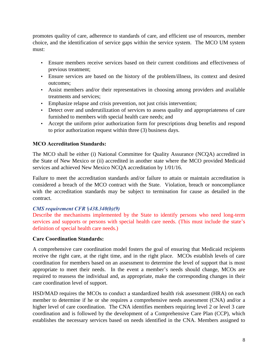promotes quality of care, adherence to standards of care, and efficient use of resources, member choice, and the identification of service gaps within the service system. The MCO UM system must:

- Ensure members receive services based on their current conditions and effectiveness of previous treatment;
- Ensure services are based on the history of the problem/illness, its context and desired outcomes;
- Assist members and/or their representatives in choosing among providers and available treatments and services;
- Emphasize relapse and crisis prevention, not just crisis intervention;
- Detect over and underutilization of services to assess quality and appropriateness of care furnished to members with special health care needs; and
- Accept the uniform prior authorization form for prescriptions drug benefits and respond to prior authorization request within three (3) business days.

## **MCO Accreditation Standards:**

The MCO shall be either (i) National Committee for Quality Assurance (NCQA) accredited in the State of New Mexico or (ii) accredited in another state where the MCO provided Medicaid services and achieved New Mexico NCQA accreditation by 1/01/16.

Failure to meet the accreditation standards and/or failure to attain or maintain accreditation is considered a breach of the MCO contract with the State. Violation, breach or noncompliance with the accreditation standards may be subject to termination for cause as detailed in the contract.

#### *CMS requirement CFR* §*438.340(b)(9)*

Describe the mechanisms implemented by the State to identify persons who need long-term services and supports or persons with special health care needs. (This must include the state's definition of special health care needs.)

#### **Care Coordination Standards:**

A comprehensive care coordination model fosters the goal of ensuring that Medicaid recipients receive the right care, at the right time, and in the right place. MCOs establish levels of care coordination for members based on an assessment to determine the level of support that is most appropriate to meet their needs. In the event a member's needs should change, MCOs are required to reassess the individual and, as appropriate, make the corresponding changes in their care coordination level of support.

HSD/MAD requires the MCOs to conduct a standardized health risk assessment (HRA) on each member to determine if he or she requires a comprehensive needs assessment (CNA) and/or a higher level of care coordination. The CNA identifies members requiring level 2 or level 3 care coordination and is followed by the development of a Comprehensive Care Plan (CCP), which establishes the necessary services based on needs identified in the CNA. Members assigned to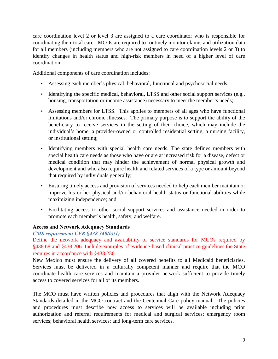care coordination level 2 or level 3 are assigned to a care coordinator who is responsible for coordinating their total care. MCOs are required to routinely monitor claims and utilization data for all members (including members who are not assigned to care coordination levels 2 or 3) to identify changes in health status and high-risk members in need of a higher level of care coordination.

Additional components of care coordination includes:

- Assessing each member's physical, behavioral, functional and psychosocial needs;
- Identifying the specific medical, behavioral, LTSS and other social support services (e.g., housing, transportation or income assistance) necessary to meet the member's needs;
- Assessing members for LTSS. This applies to members of all ages who have functional limitations and/or chronic illnesses. The primary purpose is to support the ability of the beneficiary to receive services in the setting of their choice, which may include the individual's home, a provider-owned or controlled residential setting, a nursing facility, or institutional setting;
- Identifying members with special health care needs. The state defines members with special health care needs as those who have or are at increased risk for a disease, defect or medical condition that may hinder the achievement of normal physical growth and development and who also require health and related services of a type or amount beyond that required by individuals generally;
- Ensuring timely access and provision of services needed to help each member maintain or improve his or her physical and/or behavioral health status or functional abilities while maximizing independence; and
- Facilitating access to other social support services and assistance needed in order to promote each member's health, safety, and welfare.

#### **Access and Network Adequacy Standards**

#### *CMS requirement CFR* §*438.340(b)(1)*

Define the network adequacy and availability of service standards for MCOs required by §438.68 and §438.206. Include examples of evidence-based clinical practice guidelines the State requires in accordance with §438.236.

New Mexico must ensure the delivery of all covered benefits to all Medicaid beneficiaries. Services must be delivered in a culturally competent manner and require that the MCO coordinate health care services and maintain a provider network sufficient to provide timely access to covered services for all of its members.

The MCO must have written policies and procedures that align with the Network Adequacy Standards detailed in the MCO contract and the Centennial Care policy manual. The policies and procedures must describe how access to services will be available including prior authorization and referral requirements for medical and surgical services; emergency room services; behavioral health services; and long-term care services.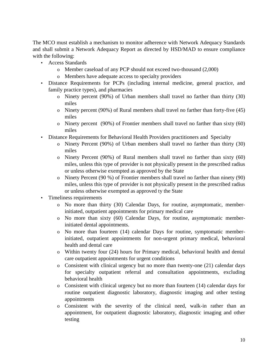The MCO must establish a mechanism to monitor adherence with Network Adequacy Standards and shall submit a Network Adequacy Report as directed by HSD/MAD to ensure compliance with the following:

- Access Standards
	- o Member caseload of any PCP should not exceed two-thousand (2,000)
	- o Members have adequate access to specialty providers
- Distance Requirements for PCPs (including internal medicine, general practice, and family practice types), and pharmacies
	- o Ninety percent (90%) of Urban members shall travel no farther than thirty (30) miles
	- o Ninety percent (90%) of Rural members shall travel no farther than forty-five (45) miles
	- o Ninety percent (90%) of Frontier members shall travel no farther than sixty (60) miles
- Distance Requirements for Behavioral Health Providers practitioners and Specialty
	- o Ninety Percent (90%) of Urban members shall travel no farther than thirty (30) miles
	- o Ninety Percent (90%) of Rural members shall travel no farther than sixty (60) miles, unless this type of provider is not physically present in the prescribed radius or unless otherwise exempted as approved by the State
	- o Ninety Percent (90 %) of Frontier members shall travel no farther than ninety (90) miles, unless this type of provider is not physically present in the prescribed radius or unless otherwise exempted as approved ty the State
- Timeliness requirements
	- o No more than thirty (30) Calendar Days, for routine, asymptomatic, memberinitiated, outpatient appointments for primary medical care
	- o No more than sixty (60) Calendar Days, for routine, asymptomatic memberinitiated dental appointments.
	- o No more than fourteen (14) calendar Days for routine, symptomatic memberinitiated, outpatient appointments for non-urgent primary medical, behavioral health and dental care
	- o Within twenty four (24) hours for Primary medical, behavioral health and dental care outpatient appointments for urgent conditions
	- o Consistent with clinical urgency but no more than twenty-one (21) calendar days for specialty outpatient referral and consultation appointments, excluding behavioral health
	- o Consistent with clinical urgency but no more than fourteen (14) calendar days for routine outpatient diagnostic laboratory, diagnostic imaging and other testing appointments
	- o Consistent with the severity of the clinical need, walk-in rather than an appointment, for outpatient diagnostic laboratory, diagnostic imaging and other testing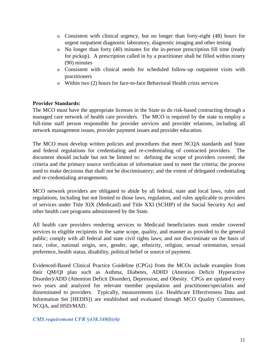- o Consistent with clinical urgency, but no longer than forty-eight (48) hours for urgent outpatient diagnostic laboratory, diagnostic imaging and other testing
- o No longer than forty (40) minutes for the in-person prescription fill time (ready for pickup). A prescription called in by a practitioner shall be filled within ninety (90) minutes
- o Consistent with clinical needs for scheduled follow-up outpatient visits with practitioners
- o Within two (2) hours for face-to-face Behavioral Health crisis services

#### **Provider Standards:**

The MCO must have the appropriate licenses in the State to do risk-based contracting through a managed care network of health care providers. The MCO is required by the state to employ a full-time staff person responsible for provider services and provider relations, including all network management issues, provider payment issues and provider education.

The MCO must develop written policies and procedures that meet NCQA standards and State and federal regulations for credentialing and re-credentialing of contracted providers. The document should include but not be limited to: defining the scope of providers covered; the criteria and the primary source verification of information used to meet the criteria; the process used to make decisions that shall not be discriminatory; and the extent of delegated credentialing and re-credentialing arrangements.

MCO network providers are obligated to abide by all federal, state and local laws, rules and regulations, including but not limited to those laws, regulation, and rules applicable to providers of services under Title XIX (Medicaid) and Title XXI (SCHIP) of the Social Security Act and other health care programs administered by the State.

All health care providers rendering services to Medicaid beneficiaries must render covered services to eligible recipients in the same scope, quality, and manner as provided to the general public; comply with all federal and state civil rights laws; and not discriminate on the basis of race, color, national origin, sex, gender, age, ethnicity, religion, sexual orientation, sexual preference, health status, disability, political belief or source of payment.

Evidenced-Based Clinical Practice Guideline (CPGs) from the MCOs include examples from their QM/QI plan such as Asthma, Diabetes, ADHD (Attention Deficit Hyperactive Disorder)/ADD (Attention Deficit Disorder), Depression, and Obesity. CPGs are updated every two years and analyzed for relevant member population and practitioner/specialists and disseminated to providers. Typically, measurements (i.e. Healthcare Effectiveness Data and Information Set [HEDIS]) are established and evaluated through MCO Quality Committees, NCQA, and HSD/MAD.

*CMS requirement CFR* §*438.340(b)(6)*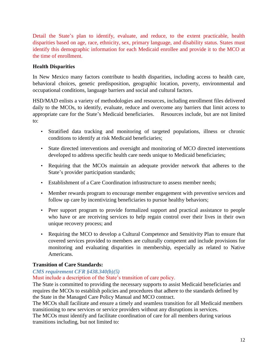Detail the State's plan to identify, evaluate, and reduce, to the extent practicable, health disparities based on age, race, ethnicity, sex, primary language, and disability status. States must identify this demographic information for each Medicaid enrollee and provide it to the MCO at the time of enrollment.

#### **Health Disparities**

In New Mexico many factors contribute to health disparities, including access to health care, behavioral choices, genetic predisposition, geographic location, poverty, environmental and occupational conditions, language barriers and social and cultural factors.

HSD/MAD enlists a variety of methodologies and resources, including enrollment files delivered daily to the MCOs, to identify, evaluate, reduce and overcome any barriers that limit access to appropriate care for the State's Medicaid beneficiaries. Resources include, but are not limited to:

- Stratified data tracking and monitoring of targeted populations, illness or chronic conditions to identify at risk Medicaid beneficiaries;
- State directed interventions and oversight and monitoring of MCO directed interventions developed to address specific health care needs unique to Medicaid beneficiaries;
- Requiring that the MCOs maintain an adequate provider network that adheres to the State's provider participation standards;
- Establishment of a Care Coordination infrastructure to assess member needs;
- Member rewards program to encourage member engagement with preventive services and follow up care by incentivizing beneficiaries to pursue healthy behaviors;
- Peer support program to provide formalized support and practical assistance to people who have or are receiving services to help regain control over their lives in their own unique recovery process; and
- Requiring the MCO to develop a Cultural Competence and Sensitivity Plan to ensure that covered services provided to members are culturally competent and include provisions for monitoring and evaluating disparities in membership, especially as related to Native Americans.

## **Transition of Care Standards:**

## *CMS requirement CFR §438.340(b)(5)*

Must include a description of the State's transition of care policy.

The State is committed to providing the necessary supports to assist Medicaid beneficiaries and requires the MCOs to establish policies and procedures that adhere to the standards defined by the State in the Managed Care Policy Manual and MCO contract.

The MCOs shall facilitate and ensure a timely and seamless transition for all Medicaid members transitioning to new services or service providers without any disruptions in services.

The MCOs must identify and facilitate coordination of care for all members during various transitions including, but not limited to: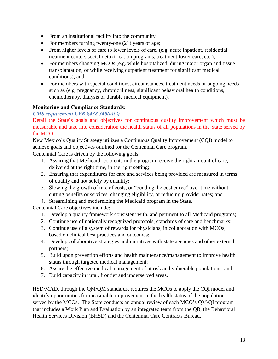- From an institutional facility into the community;
- For members turning twenty-one  $(21)$  years of age;
- From higher levels of care to lower levels of care. (e.g. acute inpatient, residential treatment centers social detoxification programs, treatment foster care, etc.);
- For members changing MCOs (e.g. while hospitalized, during major organ and tissue transplantation, or while receiving outpatient treatment for significant medical conditions); and
- For members with special conditions, circumstances, treatment needs or ongoing needs such as (e.g. pregnancy, chronic illness, significant behavioral health conditions, chemotherapy, dialysis or durable medical equipment).

#### **Monitoring and Compliance Standards:**

#### *CMS requirement CFR* §*438.340(b)(2)*

Detail the State's goals and objectives for continuous quality improvement which must be measurable and take into consideration the health status of all populations in the State served by the MCO.

New Mexico's Quality Strategy utilizes a Continuous Quality Improvement (CQI) model to achieve goals and objectives outlined for the Centennial Care program.

Centennial Care is driven by the following goals:

- 1. Assuring that Medicaid recipients in the program receive the right amount of care, delivered at the right time, in the right setting;
- 2. Ensuring that expenditures for care and services being provided are measured in terms of quality and not solely by quantity;
- 3. Slowing the growth of rate of costs, or "bending the cost curve" over time without cutting benefits or services, changing eligibility, or reducing provider rates; and

4. Streamlining and modernizing the Medicaid program in the State.

Centennial Care objectives include:

- 1. Develop a quality framework consistent with, and pertinent to all Medicaid programs;
- 2. Continue use of nationally recognized protocols, standards of care and benchmarks;
- 3. Continue use of a system of rewards for physicians, in collaboration with MCOs, based on clinical best practices and outcomes;
- 4. Develop collaborative strategies and initiatives with state agencies and other external partners;
- 5. Build upon prevention efforts and health maintenance/management to improve health status through targeted medical management;
- 6. Assure the effective medical management of at risk and vulnerable populations; and
- 7. Build capacity in rural, frontier and underserved areas.

HSD/MAD, through the QM/QM standards, requires the MCOs to apply the CQI model and identify opportunities for measurable improvement in the health status of the population served by the MCOs. The State conducts an annual review of each MCO's QM/QI program that includes a Work Plan and Evaluation by an integrated team from the QB, the Behavioral Health Services Division (BHSD) and the Centennial Care Contracts Bureau.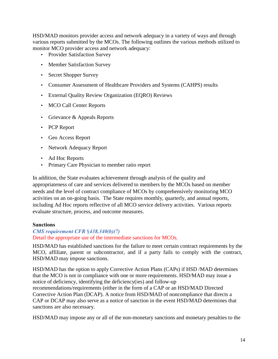HSD/MAD monitors provider access and network adequacy in a variety of ways and through various reports submitted by the MCOs. The following outlines the various methods utilized to monitor MCO provider access and network adequacy:

- Provider Satisfaction Survey
- Member Satisfaction Survey
- Secret Shopper Survey
- Consumer Assessment of Healthcare Providers and Systems (CAHPS) results
- External Quality Review Organization (EQRO) Reviews
- MCO Call Center Reports
- Grievance & Appeals Reports
- PCP Report
- Geo Access Report
- Network Adequacy Report
- Ad Hoc Reports
- Primary Care Physician to member ratio report

In addition, the State evaluates achievement through analysis of the quality and appropriateness of care and services delivered to members by the MCOs based on member needs and the level of contract compliance of MCOs by comprehensively monitoring MCO activities on an on-going basis. The State requires monthly, quarterly, and annual reports, including Ad Hoc reports reflective of all MCO service delivery activities. Various reports evaluate structure, process, and outcome measures.

#### **Sanctions**

#### *CMS requirement CFR* §*438.340(b)(7)* Detail the appropriate use of the intermediate sanctions for MCOs.

HSD/MAD has established sanctions for the failure to meet certain contract requirements by the MCO, affiliate, parent or subcontractor, and if a party fails to comply with the contract, HSD/MAD may impose sanctions.

HSD/MAD has the option to apply Corrective Action Plans (CAPs) if HSD /MAD determines that the MCO is not in compliance with one or more requirements. HSD/MAD may issue a notice of deficiency, identifying the deficiency(ies) and follow-up recommendations/requirements (either in the form of a CAP or an HSD/MAD Directed Corrective Action Plan (DCAP). A notice from HSD/MAD of noncompliance that directs a CAP or DCAP may also serve as a notice of sanction in the event HSD/MAD determines that sanctions are also necessary.

HSD/MAD may impose any or all of the non-monetary sanctions and monetary penalties to the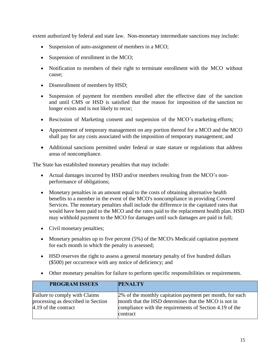extent authorized by federal and state law. Non-monetary intermediate sanctions may include:

- Suspension of auto-assignment of members in a MCO;
- Suspension of enrollment in the MCO;
- Notification to members of their right to terminate enrollment with the MCO without cause;
- Disenrollment of members by HSD;
- Suspension of payment for members enrolled after the effective date of the sanction and until CMS or HSD is satisfied that the reason for imposition of the sanction no longer exists and is not likely to recur;
- Rescission of Marketing consent and suspension of the MCO's marketing efforts;
- Appointment of temporary management on any portion thereof for a MCO and the MCO shall pay for any costs associated with the imposition of temporary management; and
- Additional sanctions permitted under federal or state stature or regulations that address areas of noncompliance.

The State has established monetary penalties that may include:

- Actual damages incurred by HSD and/or members resulting from the MCO's nonperformance of obligations;
- Monetary penalties in an amount equal to the costs of obtaining alternative health benefits to a member in the event of the MCO's noncompliance in providing Covered Services. The monetary penalties shall include the difference in the capitated rates that would have been paid to the MCO and the rates paid to the replacement health plan. HSD may withhold payment to the MCO for damages until such damages are paid in full;
- Civil monetary penalties;
- Monetary penalties up to five percent (5%) of the MCO's Medicaid capitation payment for each month in which the penalty is assessed;
- HSD reserves the right to assess a general monetary penalty of five hundred dollars (\$500) per occurrence with any notice of deficiency; and
- Other monetary penalties for failure to perform specific responsibilities or requirements.

| <b>PROGRAM ISSUES</b>                                                                       | <b>PENALTY</b>                                                                                                                                                                          |
|---------------------------------------------------------------------------------------------|-----------------------------------------------------------------------------------------------------------------------------------------------------------------------------------------|
| Failure to comply with Claims<br>processing as described in Section<br>4.19 of the contract | 2% of the monthly capitation payment per month, for each<br>month that the HSD determines that the MCO is not in<br>compliance with the requirements of Section 4.19 of the<br>contract |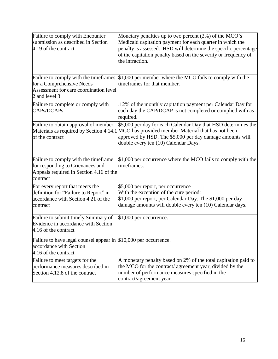| Failure to comply with Encounter                                                                                                | Monetary penalties up to two percent $(2%)$ of the MCO's                                                                                                                                                                                                        |
|---------------------------------------------------------------------------------------------------------------------------------|-----------------------------------------------------------------------------------------------------------------------------------------------------------------------------------------------------------------------------------------------------------------|
| submission as described in Section<br>4.19 of the contract                                                                      | Medicaid capitation payment for each quarter in which the<br>penalty is assessed. HSD will determine the specific percentage<br>of the capitation penalty based on the severity or frequency of<br>the infraction.                                              |
| Failure to comply with the timeframes<br>for a Comprehensive Needs<br>Assessment for care coordination level<br>2 and level 3   | $$1,000$ per member where the MCO fails to comply with the<br>timeframes for that member.                                                                                                                                                                       |
| Failure to complete or comply with<br>CAPs/DCAPs                                                                                | 12% of the monthly capitation payment per Calendar Day for<br>each day the CAP/DCAP is not completed or complied with as<br>required.                                                                                                                           |
| Failure to obtain approval of member<br>of the contract                                                                         | \$5,000 per day for each Calendar Day that HSD determines the<br>Materials as required by Section 4.14.1 MCO has provided member Material that has not been<br>approved by HSD. The \$5,000 per day damage amounts will<br>double every ten (10) Calendar Days. |
| Failure to comply with the timeframe<br>for responding to Grievances and<br>Appeals required in Section 4.16 of the<br>contract | \$1,000 per occurrence where the MCO fails to comply with the<br>timeframes.                                                                                                                                                                                    |
| For every report that meets the<br>definition for "Failure to Report" in<br>accordance with Section 4.21 of the<br>contract     | \$5,000 per report, per occurrence<br>With the exception of the cure period:<br>\$1,000 per report, per Calendar Day. The \$1,000 per day<br>damage amounts will double every ten (10) Calendar days.                                                           |
| Failure to submit timely Summary of<br>Evidence in accordance with Section<br>4.16 of the contract                              | \$1,000 per occurrence.                                                                                                                                                                                                                                         |
| Failure to have legal counsel appear in $$10,000$ per occurrence.<br>accordance with Section<br>4.16 of the contract            |                                                                                                                                                                                                                                                                 |
| Failure to meet targets for the<br>performance measures described in<br>Section 4.12.8 of the contract                          | A monetary penalty based on 2% of the total capitation paid to<br>the MCO for the contract/ agreement year, divided by the<br>number of performance measures specified in the<br>contract/agreement year.                                                       |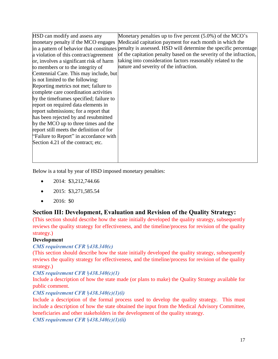| HSD can modify and assess any            | Monetary penalties up to five percent $(5.0\%)$ of the MCO's                                              |
|------------------------------------------|-----------------------------------------------------------------------------------------------------------|
| monetary penalty if the MCO engages      | Medicaid capitation payment for each month in which the                                                   |
|                                          | in a pattern of behavior that constitutes penalty is assessed. HSD will determine the specific percentage |
| a violation of this contract/agreement   | of the capitation penalty based on the severity of the infraction,                                        |
| or, involves a significant risk of harm  | taking into consideration factors reasonably related to the                                               |
| to members or to the integrity of        | nature and severity of the infraction.                                                                    |
| Centennial Care. This may include, but   |                                                                                                           |
| is not limited to the following:         |                                                                                                           |
| Reporting metrics not met; failure to    |                                                                                                           |
| complete care coordination activities    |                                                                                                           |
| by the timeframes specified; failure to  |                                                                                                           |
| report on required data elements in      |                                                                                                           |
| report submissions; for a report that    |                                                                                                           |
| has been rejected by and resubmitted     |                                                                                                           |
| by the MCO up to three times and the     |                                                                                                           |
| report still meets the definition of for |                                                                                                           |
| "Failure to Report" in accordance with   |                                                                                                           |
| Section 4.21 of the contract; etc.       |                                                                                                           |
|                                          |                                                                                                           |
|                                          |                                                                                                           |
|                                          |                                                                                                           |

Below is a total by year of HSD imposed monetary penalties:

- $\bullet$  2014: \$3,212,744.66
- $\bullet$  2015: \$3,271,585.54
- $\bullet$  2016: \$0

## **Section III: Development, Evaluation and Revision of the Quality Strategy:**

(This section should describe how the state initially developed the quality strategy, subsequently reviews the quality strategy for effectiveness, and the timeline/process for revision of the quality strategy.)

## **Development**

## *CMS requirement CFR* §*438.340(c)*

(This section should describe how the state initially developed the quality strategy, subsequently reviews the quality strategy for effectiveness, and the timeline/process for revision of the quality strategy.)

*CMS requirement CFR* §*438.340(c)(1)*

Include a description of how the state made (or plans to make) the Quality Strategy available for public comment.

## *CMS requirement CFR* §*438.340(c)(1)(i)*

Include a description of the formal process used to develop the quality strategy. This must include a description of how the state obtained the input from the Medical Advisory Committee, beneficiaries and other stakeholders in the development of the quality strategy.

*CMS requirement CFR* §*438.340(c)(1)(ii)*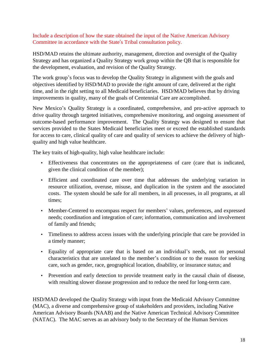Include a description of how the state obtained the input of the Native American Advisory Committee in accordance with the State's Tribal consultation policy.

HSD/MAD retains the ultimate authority, management, direction and oversight of the Quality Strategy and has organized a Quality Strategy work group within the QB that is responsible for the development, evaluation, and revision of the Quality Strategy.

The work group's focus was to develop the Quality Strategy in alignment with the goals and objectives identified by HSD/MAD to provide the right amount of care, delivered at the right time, and in the right setting to all Medicaid beneficiaries. HSD/MAD believes that by driving improvements in quality, many of the goals of Centennial Care are accomplished.

New Mexico's Quality Strategy is a coordinated, comprehensive, and pro-active approach to drive quality through targeted initiatives, comprehensive monitoring, and ongoing assessment of outcome-based performance improvement. The Quality Strategy was designed to ensure that services provided to the States Medicaid beneficiaries meet or exceed the established standards for access to care, clinical quality of care and quality of services to achieve the delivery of highquality and high value healthcare.

The key traits of high-quality, high value healthcare include:

- Effectiveness that concentrates on the appropriateness of care (care that is indicated, given the clinical condition of the member);
- Efficient and coordinated care over time that addresses the underlying variation in resource utilization, overuse, misuse, and duplication in the system and the associated costs. The system should be safe for all members, in all processes, in all programs, at all times;
- Member-Centered to encompass respect for members' values, preferences, and expressed needs; coordination and integration of care; information, communication and involvement of family and friends;
- Timeliness to address access issues with the underlying principle that care be provided in a timely manner;
- Equality of appropriate care that is based on an individual's needs, not on personal characteristics that are unrelated to the member's condition or to the reason for seeking care, such as gender, race, geographical location, disability, or insurance status; and
- Prevention and early detection to provide treatment early in the causal chain of disease, with resulting slower disease progression and to reduce the need for long-term care.

HSD/MAD developed the Quality Strategy with input from the Medicaid Advisory Committee (MAC), a diverse and comprehensive group of stakeholders and providers, including Native American Advisory Boards (NAAB) and the Native American Technical Advisory Committee (NATAC). The MAC serves as an advisory body to the Secretary of the Human Services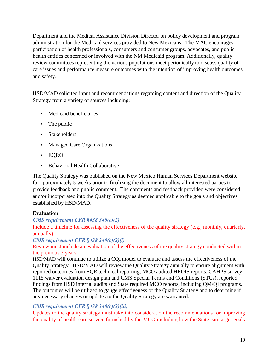Department and the Medical Assistance Division Director on policy development and program administration for the Medicaid services provided to New Mexicans. The MAC encourages participation of health professionals, consumers and consumer groups, advocates, and public health entities concerned or involved with the NM Medicaid program. Additionally, quality review committees representing the various populations meet periodically to discuss quality of care issues and performance measure outcomes with the intention of improving health outcomes and safety.

HSD/MAD solicited input and recommendations regarding content and direction of the Quality Strategy from a variety of sources including;

- Medicaid beneficiaries
- The public
- Stakeholders
- Managed Care Organizations
- EQRO
- Behavioral Health Collaborative

The Quality Strategy was published on the New Mexico Human Services Department website for approximately 5 weeks prior to finalizing the document to allow all interested parties to provide feedback and public comment. The comments and feedback provided were considered and/or incorporated into the Quality Strategy as deemed applicable to the goals and objectives established by HSD/MAD.

## **Evaluation**

## *CMS requirement CFR* §*438.340(c)(2)*

Include a timeline for assessing the effectiveness of the quality strategy (e.g., monthly, quarterly, annually).

#### *CMS requirement CFR* §*438.340(c)(2)(i)*

#### Review must include an evaluation of the effectiveness of the quality strategy conducted within the previous 3 years.

HSD/MAD will continue to utilize a CQI model to evaluate and assess the effectiveness of the Quality Strategy. HSD/MAD will review the Quality Strategy annually to ensure alignment with reported outcomes from EQR technical reporting, MCO audited HEDIS reports, CAHPS survey, 1115 waiver evaluation design plan and CMS Special Terms and Conditions (STCs), reported findings from HSD internal audits and State required MCO reports, including QM/QI programs. The outcomes will be utilized to gauge effectiveness of the Quality Strategy and to determine if any necessary changes or updates to the Quality Strategy are warranted.

## *CMS requirement CFR* §*438.340(c)(2)(iii)*

Updates to the quality strategy must take into consideration the recommendations for improving the quality of health care service furnished by the MCO including how the State can target goals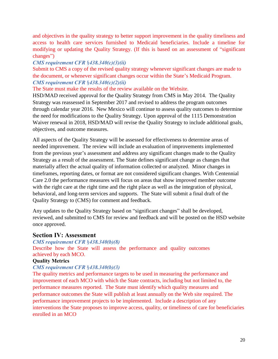and objectives in the quality strategy to better support improvement in the quality timeliness and access to health care services furnished to Medicaid beneficiaries. Include a timeline for modifying or updating the Quality Strategy. (If this is based on an assessment of "significant changes")

### *CMS requirement CFR* §*438.340(c)(3)(ii)*

Submit to CMS a copy of the revised quality strategy whenever significant changes are made to the document, or whenever significant changes occur within the State's Medicaid Program. *CMS requirement CFR* §*438.340(c)(2)(ii)*

The State must make the results of the review available on the Website.

HSD/MAD received approval for the Quality Strategy from CMS in May 2014. The Quality Strategy was reassessed in September 2017 and revised to address the program outcomes through calendar year 2016. New Mexico will continue to assess quality outcomes to determine the need for modifications to the Quality Strategy. Upon approval of the 1115 Demonstration Waiver renewal in 2018, HSD/MAD will revise the Quality Strategy to include additional goals, objectives, and outcome measures.

All aspects of the Quality Strategy will be assessed for effectiveness to determine areas of needed improvement. The review will include an evaluation of improvements implemented from the previous year's assessment and address any significant changes made to the Quality Strategy as a result of the assessment. The State defines significant change as changes that materially affect the actual quality of information collected or analyzed. Minor changes in timeframes, reporting dates, or format are not considered significant changes. With Centennial Care 2.0 the performance measures will focus on areas that show improved member outcome with the right care at the right time and the right place as well as the integration of physical, behavioral, and long-term services and supports. The State will submit a final draft of the Quality Strategy to (CMS) for comment and feedback.

Any updates to the Quality Strategy based on "significant changes" shall be developed, reviewed, and submitted to CMS for review and feedback and will be posted on the HSD website once approved.

## **Section IV: Assessment**

*CMS requirement CFR* §*438.340(b)(8)*

Describe how the State will assess the performance and quality outcomes achieved by each MCO.

#### **Quality Metrics**

#### *CMS requirement CFR* §*438.340(b)(3)*

The quality metrics and performance targets to be used in measuring the performance and improvement of each MCO with which the State contracts, including but not limited to, the performance measures reported. The State must identify which quality measures and performance outcomes the State will publish at least annually on the Web site required. The performance improvement projects to be implemented. Include a description of any interventions the State proposes to improve access, quality, or timeliness of care for beneficiaries enrolled in an MCO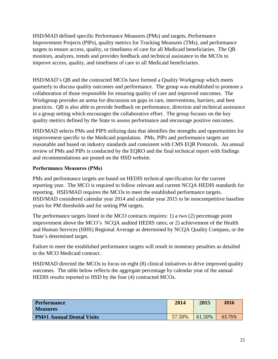HSD/MAD defined specific Performance Measures (PMs) and targets, Performance Improvement Projects (PIPs), quality metrics for Tracking Measures (TMs), and performance targets to ensure access, quality, or timeliness of care for all Medicaid beneficiaries. The QB monitors, analyzes, trends and provides feedback and technical assistance to the MCOs to improve access, quality, and timeliness of care to all Medicaid beneficiaries.

HSD/MAD's QB and the contracted MCOs have formed a Quality Workgroup which meets quarterly to discuss quality outcomes and performance. The group was established to promote a collaboration of those responsible for ensuring quality of care and improved outcomes. The Workgroup provides an arena for discussion on gaps in care, interventions, barriers, and best practices. QB is also able to provide feedback on performance, direction and technical assistance in a group setting which encourages the collaborative effort. The group focuses on the key quality metrics defined by the State to assess performance and encourage positive outcomes.

HSD/MAD selects PMs and PIPS utilizing data that identifies the strengths and opportunities for improvement specific to the Medicaid population. PMs, PIPs and performance targets are reasonable and based on industry standards and consistent with CMS EQR Protocols. An annual review of PMs and PIPs is conducted by the EQRO and the final technical report with findings and recommendations are posted on the HSD website.

## **Performance Measures (PMs)**

PMs and performance targets are based on HEDIS technical specification for the current reporting year. The MCO is required to follow relevant and current NCQA HEDIS standards for reporting. HSD/MAD requires the MCOs to meet the established performance targets. HSD/MAD considered calendar year 2014 and calendar year 2015 to be noncompetitive baseline years for PM thresholds and for setting PM targets.

The performance targets listed in the MCO contracts requires: 1) a two (2) percentage point improvement above the MCO's NCQA audited HEDIS rates; or 2) achievement of the Health and Human Services (HHS) Regional Average as determined by NCQA Quality Compass, or the State's determined target.

Failure to meet the established performance targets will result in monetary penalties as detailed in the MCO Medicaid contract.

HSD/MAD directed the MCOs to focus on eight (8) clinical initiatives to drive improved quality outcomes. The table below reflects the aggregate percentage by calendar year of the annual HEDIS results reported to HSD by the four (4) contracted MCOs.

| <b>Performance</b><br><b>Measures</b> | 2014   | 2015   | 2016   |
|---------------------------------------|--------|--------|--------|
| <b>PM#1 Annual Dental Visits</b>      | 57.50% | 61.50% | 63.75% |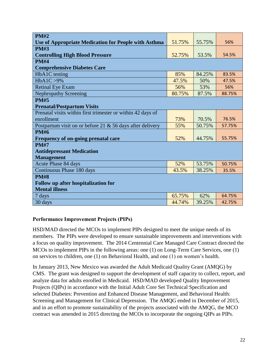| <b>PM#2</b>                                                 |        |        |        |
|-------------------------------------------------------------|--------|--------|--------|
| <b>Use of Appropriate Medication for People with Asthma</b> | 51.75% | 55.75% | 56%    |
| <b>PM#3</b>                                                 |        |        |        |
| <b>Controlling High Blood Pressure</b>                      | 52.75% | 53.5%  | 54.5%  |
| <b>PM#4</b>                                                 |        |        |        |
| <b>Comprehensive Diabetes Care</b>                          |        |        |        |
| HbA1C testing                                               | 85%    | 84.25% | 83.5%  |
| HbA1C > 9%                                                  | 47.5%  | 50%    | 47.5%  |
| <b>Retinal Eye Exam</b>                                     | 56%    | 53%    | 56%    |
| <b>Nephropathy Screening</b>                                | 80.75% | 87.5%  | 88.75% |
| <b>PM#5</b>                                                 |        |        |        |
| <b>Prenatal/Postpartum Visits</b>                           |        |        |        |
| Prenatal visits within first trimester or within 42 days of |        |        |        |
| enrollment                                                  | 73%    | 70.5%  | 76.5%  |
| Postpartum visit on or before 21 $&$ 56 days after delivery | 55%    | 50.75% | 57.75% |
| <b>PM#6</b>                                                 |        |        |        |
| Frequency of on-going prenatal care                         | 52%    | 44.75% | 55.75% |
| <b>PM#7</b>                                                 |        |        |        |
| <b>Antidepressant Medication</b>                            |        |        |        |
| <b>Management</b>                                           |        |        |        |
| Acute Phase 84 days                                         | 52%    | 53.75% | 50.75% |
| Continuous Phase 180 days                                   | 43.5%  | 38.25% | 35.5%  |
| <b>PM#8</b>                                                 |        |        |        |
| Follow up after hospitalization for                         |        |        |        |
| <b>Mental illness</b>                                       |        |        |        |
| 7 days                                                      | 65.75% | 62%    | 64.75% |
| 30 days                                                     | 44.74% | 39.25% | 42.75% |

#### **Performance Improvement Projects (PIPs)**

HSD/MAD directed the MCOs to implement PIPs designed to meet the unique needs of its members. The PIPs were developed to ensure sustainable improvements and interventions with a focus on quality improvement. The 2014 Centennial Care Managed Care Contract directed the MCOs to implement PIPs in the following areas: one (1) on Long-Term Care Services, one (1) on services to children, one (1) on Behavioral Health, and one (1) on women's health.

In January 2013, New Mexico was awarded the Adult Medicaid Quality Grant (AMQG) by CMS. The grant was designed to support the development of staff capacity to collect, report, and analyze data for adults enrolled in Medicaid. HSD/MAD developed Quality Improvement Projects (QIPs) in accordance with the Initial Adult Core Set Technical Specification and selected Diabetes: Prevention and Enhanced Disease Management, and Behavioral Health: Screening and Management for Clinical Depression. The AMQG ended in December of 2015, and in an effort to promote sustainability of the projects associated with the AMQG, the MCO contract was amended in 2015 directing the MCOs to incorporate the ongoing QIPs as PIPs.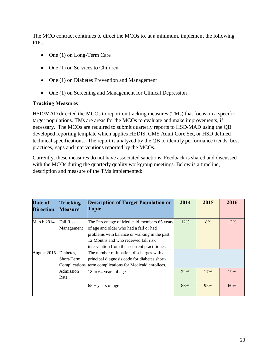The MCO contract continues to direct the MCOs to, at a minimum, implement the following PIPs:

- One (1) on Long-Term Care
- One (1) on Services to Children
- One (1) on Diabetes Prevention and Management
- One (1) on Screening and Management for Clinical Depression

#### **Tracking Measures**

HSD/MAD directed the MCOs to report on tracking measures (TMs) that focus on a specific target populations. TMs are areas for the MCOs to evaluate and make improvements, if necessary. The MCOs are required to submit quarterly reports to HSD/MAD using the QB developed reporting template which applies HEDIS, CMS Adult Core Set, or HSD defined technical specifications. The report is analyzed by the QB to identify performance trends, best practices, gaps and interventions reported by the MCOs.

Currently, these measures do not have associated sanctions. Feedback is shared and discussed with the MCOs during the quarterly quality workgroup meetings. Below is a timeline, description and measure of the TMs implemented:

| Date of<br><b>Direction</b> | Tracking<br><b>Measure</b>     | <b>Description of Target Population or</b><br>Topic                                                                                                                                                                            | 2014 | 2015 | 2016 |
|-----------------------------|--------------------------------|--------------------------------------------------------------------------------------------------------------------------------------------------------------------------------------------------------------------------------|------|------|------|
| March 2014                  | <b>Fall Risk</b><br>Management | The Percentage of Medicaid members 65 years<br>of age and older who had a fall or had<br>problems with balance or walking in the past<br>12 Months and who received fall risk<br>intervention from their current practitioner. | 12%  | 8%   | 12%  |
| August 2015                 | Diabetes,<br>Short-Term        | The number of inpatient discharges with a<br>principal diagnosis code for diabetes short-<br>Complications term complications for Medicaid enrollees.                                                                          |      |      |      |
|                             | Admission<br>Rate              | 18 to 64 years of age                                                                                                                                                                                                          | 22%  | 17%  | 19%  |
|                             |                                | $65 + \text{years of age}$                                                                                                                                                                                                     | 88%  | 95%  | 60%  |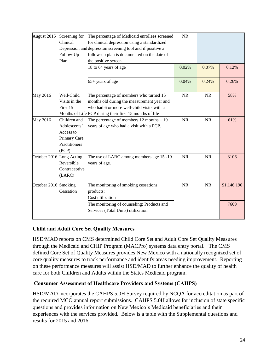| August 2015              | Screening for<br>Clinical<br>Follow-Up<br>Plan                                      | The percentage of Medicaid enrollees screened<br>for clinical depression using a standardized<br>Depression and depression screening tool and if positive a<br>follow-up plan is documented on the date of<br>the positive screen. | <b>NR</b> |           |                     |
|--------------------------|-------------------------------------------------------------------------------------|------------------------------------------------------------------------------------------------------------------------------------------------------------------------------------------------------------------------------------|-----------|-----------|---------------------|
|                          |                                                                                     | 18 to 64 years of age                                                                                                                                                                                                              | 0.02%     | 0.07%     | 0.12%               |
|                          |                                                                                     | 65+ years of age                                                                                                                                                                                                                   | 0.04%     | 0.24%     | 0.26%               |
| May 2016                 | Well-Child<br>Visits in the<br>First 15                                             | The percentage of members who turned 15<br>months old during the measurement year and<br>who had 6 or more well-child visits with a<br>Months of Life PCP during their first 15 months of life                                     | <b>NR</b> | <b>NR</b> | 58%                 |
| May 2016                 | Children and<br>Adolescents'<br>Access to<br>Primary Care<br>Practitioners<br>(PCP) | The percentage of members $12$ months $-19$<br>years of age who had a visit with a PCP.                                                                                                                                            | <b>NR</b> | <b>NR</b> | 61%                 |
| October 2016 Long Acting | Reversible<br>Contraceptive<br>(LARC)                                               | The use of LARC among members age 15 -19<br>years of age.                                                                                                                                                                          | <b>NR</b> | <b>NR</b> | 3106                |
| October 2016 Smoking     | Cessation                                                                           | The monitoring of smoking cessations<br>products:<br>Cost utilization<br>The monitoring of counseling: Products and                                                                                                                | <b>NR</b> | NR        | \$1,146,190<br>7609 |
|                          |                                                                                     | Services (Total Units) utilization                                                                                                                                                                                                 |           |           |                     |

## **Child and Adult Core Set Quality Measures**

HSD/MAD reports on CMS determined Child Core Set and Adult Core Set Quality Measures through the Medicaid and CHIP Program (MACPro) systems data entry portal. The CMS defined Core Set of Quality Measures provides New Mexico with a nationally recognized set of core quality measures to track performance and identify areas needing improvement. Reporting on these performance measures will assist HSD/MAD to further enhance the quality of health care for both Children and Adults within the States Medicaid program.

## **Consumer Assessment of Healthcare Providers and Systems (CAHPS)**

HSD/MAD incorporates the CAHPS 5.0H Survey required by NCQA for accreditation as part of the required MCO annual report submissions. CAHPS 5.0H allows for inclusion of state specific questions and provides information on New Mexico's Medicaid beneficiaries and their experiences with the services provided. Below is a table with the Supplemental questions and results for 2015 and 2016.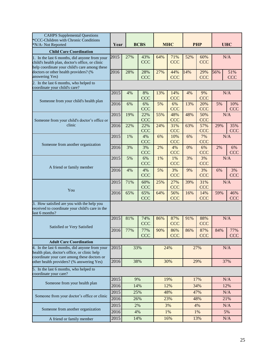| <b>CAHPS</b> Supplemental Questions<br>*CCC-Children with Chronic Conditions<br>*N/A- Not Reported                                                | <b>BCBS</b><br>Year |     | <b>MHC</b>        |     |                   | <b>PHP</b> |                   | <b>UHC</b> |                   |
|---------------------------------------------------------------------------------------------------------------------------------------------------|---------------------|-----|-------------------|-----|-------------------|------------|-------------------|------------|-------------------|
| <b>Child Care Coordination</b>                                                                                                                    |                     |     |                   |     |                   |            |                   |            |                   |
| 1. In the last 6 months, did anyone from your<br>child's health plan, doctor's office, or clinic<br>help coordinate your child's care among these | 2015                | 27% | 43%<br><b>CCC</b> | 64% | 71%<br><b>CCC</b> | 52%        | 60%<br><b>CCC</b> |            | N/A               |
| doctors or other health providers? (%<br>answering Yes)                                                                                           | 2016                | 28% | 28%<br><b>CCC</b> | 27% | 44%<br><b>CCC</b> | 14%        | 29%<br><b>CCC</b> | 56%        | 51%<br><b>CCC</b> |
| 2. In the last 6 months, who helped to<br>coordinate your child's care?                                                                           |                     |     |                   |     |                   |            |                   |            |                   |
| Someone from your child's health plan                                                                                                             | 2015                | 4%  | 8%<br><b>CCC</b>  | 13% | 14%<br><b>CCC</b> | 4%         | 9%<br><b>CCC</b>  |            | N/A               |
|                                                                                                                                                   | 2016                | 6%  | 6%<br><b>CCC</b>  | 5%  | 6%<br><b>CCC</b>  | 13%        | 20%<br><b>CCC</b> | 5%         | 10%<br><b>CCC</b> |
| Someone from your child's doctor's office or                                                                                                      | 2015                | 19% | 22%<br><b>CCC</b> | 55% | 48%<br><b>CCC</b> | 48%        | 50%<br><b>CCC</b> |            | N/A               |
| clinic                                                                                                                                            | 2016                | 22% | 22%<br><b>CCC</b> | 24% | 31%<br><b>CCC</b> | 63%        | 57%<br><b>CCC</b> | 29%        | 35%<br><b>CCC</b> |
| Someone from another organization                                                                                                                 | 2015                | 1%  | 4%<br><b>CCC</b>  | 6%  | 10%<br><b>CCC</b> | 6%         | 7%<br><b>CCC</b>  |            | N/A               |
|                                                                                                                                                   | 2016                | 3%  | 3%<br><b>CCC</b>  | 2%  | 4%<br><b>CCC</b>  | 0%         | 6%<br><b>CCC</b>  | 2%         | 6%<br><b>CCC</b>  |
| A friend or family member                                                                                                                         | 2015                | 5%  | 6%<br><b>CCC</b>  | 1%  | 1%<br><b>CCC</b>  | 3%         | 3%<br><b>CCC</b>  |            | N/A               |
|                                                                                                                                                   | 2016                | 4%  | 4%<br><b>CCC</b>  | 5%  | 3%<br><b>CCC</b>  | 9%         | 3%<br><b>CCC</b>  | 6%         | 3%<br><b>CCC</b>  |
|                                                                                                                                                   | 2015                | 71% | 60%<br>CCC        | 25% | 27%<br>CCC        | 39%        | 31%<br>CCC        |            | N/A               |
| You                                                                                                                                               | 2016                | 65% | 65%<br><b>CCC</b> | 64% | 56%<br><b>CCC</b> | 16%        | 14%<br><b>CCC</b> | 59%        | 46%<br><b>CCC</b> |
| 3. How satisfied are you with the help you<br>received to coordinate your child's care in the<br>last 6 months?                                   |                     |     |                   |     |                   |            |                   |            |                   |
| Satisfied or Very Satisfied                                                                                                                       | 2015                | 81% | 74%<br><b>CCC</b> | 86% | 87%<br><b>CCC</b> | 91%        | 88%<br><b>CCC</b> |            | N/A               |
|                                                                                                                                                   | 2016                | 77% | 77%<br>CCC        | 90% | 86%<br>CCC        | 86%        | 87%<br>CCC        | 84%        | 77%<br>CCC        |
| <b>Adult Care Coordination</b>                                                                                                                    |                     |     |                   |     |                   |            |                   |            |                   |
| 4. In the last 6 months, did anyone from your<br>health plan, doctor's office, or clinic help<br>coordinate your care among these doctors or      |                     | 33% |                   | 24% |                   | 27%        |                   |            | N/A               |
| other health providers? (% answering Yes)                                                                                                         | 2016                |     | 38%               |     | 30%               |            | 29%               |            | 37%               |
| 5. In the last 6 months, who helped to<br>coordinate your care?                                                                                   |                     |     |                   |     |                   |            |                   |            |                   |
| Someone from your health plan                                                                                                                     | 2015                | 9%  |                   |     | 19%               |            | 17%               |            | N/A               |
|                                                                                                                                                   | 2016                |     | 14%               |     | 12%               |            | 34%               |            | 12%               |
| Someone from your doctor's office or clinic                                                                                                       | 2015                |     | 25%               |     | 48%               |            | 47%               |            | N/A               |
|                                                                                                                                                   | 2016                |     | 26%               |     | 23%               |            | 48%               |            | 21%               |
| Someone from another organization                                                                                                                 | 2015                |     | 2%                |     | 3%                |            | 4%                |            | N/A               |
|                                                                                                                                                   | 2016                |     | 4%                |     | 1%                |            | 1%                |            | 5%                |
| A friend or family member                                                                                                                         | 2015                | 14% |                   | 16% |                   | 13%        |                   |            | N/A               |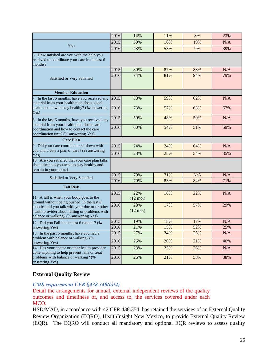|                                                                                                                                                                                                                                     | 2016         | 14%                       | 11% | 8%  | 23% |
|-------------------------------------------------------------------------------------------------------------------------------------------------------------------------------------------------------------------------------------|--------------|---------------------------|-----|-----|-----|
|                                                                                                                                                                                                                                     | 2015         | 50%                       |     |     |     |
| You                                                                                                                                                                                                                                 |              |                           | 16% | 19% | N/A |
|                                                                                                                                                                                                                                     |              | 43%                       | 53% | 9%  | 39% |
| 6. How satisfied are you with the help you<br>received to coordinate your care in the last 6<br>months?                                                                                                                             |              |                           |     |     |     |
|                                                                                                                                                                                                                                     | 2015         | 80%                       | 87% | 88% | N/A |
| Satisfied or Very Satisfied                                                                                                                                                                                                         | 2016         | 74%                       | 81% | 94% | 79% |
| <b>Member Education</b>                                                                                                                                                                                                             |              |                           |     |     |     |
| 7. In the last 6 months, have you received any<br>material from your health plan about good                                                                                                                                         | 2015         | 58%                       | 59% | 62% | N/A |
| health and how to stay healthy? (% answering<br>Yes)                                                                                                                                                                                | 2016         | 73%                       | 57% | 63% | 67% |
| 8. In the last 6 months, have you received any<br>material from your health plan about care                                                                                                                                         | 2015         | 50%                       | 48% | 50% | N/A |
| coordination and how to contact the care<br>coordination unit? (% answering Yes)                                                                                                                                                    | 2016         | 60%                       | 54% | 51% | 59% |
| <b>Care Plan</b>                                                                                                                                                                                                                    |              |                           |     |     |     |
| 9. Did your care coordinator sit down with                                                                                                                                                                                          | 2015         | 24%                       | 24% | 64% | N/A |
| you and create a plan of care? (% answering<br>Yes)                                                                                                                                                                                 | 2016         | 28%                       | 25% | 54% | 35% |
| 10. Are you satisfied that your care plan talks<br>about the help you need to stay healthy and<br>remain in your home?                                                                                                              |              |                           |     |     |     |
| Satisfied or Very Satisfied                                                                                                                                                                                                         | 2015         | 70%                       | 71% | N/A | N/A |
|                                                                                                                                                                                                                                     | 2016         | 70%                       | 83% | 84% | 71% |
| <b>Fall Risk</b>                                                                                                                                                                                                                    |              |                           |     |     |     |
| 11. A fall is when your body goes to the<br>ground without being pushed. In the last 6<br>months, did you talk with your doctor or other<br>health provider about falling or problems with<br>balance or walking? (% answering Yes) |              | 22%<br>$(12 \text{ mo.})$ | 18% | 22% | N/A |
|                                                                                                                                                                                                                                     |              | 23%<br>$(12 \text{ mo.})$ | 17% | 57% | 29% |
| 12. Did you Fall in the past 6 months? (%                                                                                                                                                                                           | 2015<br>2016 | 19%                       | 18% | 17% | N/A |
| answering Yes)                                                                                                                                                                                                                      |              | 21%                       | 15% | 52% | 25% |
| 13. In the past 6 months, have you had a<br>problem with balance or walking? (%                                                                                                                                                     | 2015<br>2016 | 27%                       | 24% | 25% | N/A |
| answering Yes)                                                                                                                                                                                                                      |              | 26%                       | 20% | 21% | 40% |
| 14. Has your doctor or other health provider<br>done anything to help prevent falls or treat                                                                                                                                        | 2015<br>2016 | 23%                       | 23% | 26% | N/A |
| problems with balance or walking? (%<br>answering Yes)                                                                                                                                                                              |              | 26%                       | 21% | 58% | 38% |

#### **External Quality Review**

## *CMS requirement CFR* §*438.340(b)(4)*

Detail the arrangements for annual, external independent reviews of the quality outcomes and timeliness of, and access to, the services covered under each MCO.

HSD/MAD, in accordance with 42 CFR 438.354, has retained the services of an External Quality Review Organization (EQRO), HealthInsight New Mexico, to provide External Quality Review (EQR). The EQRO will conduct all mandatory and optional EQR reviews to assess quality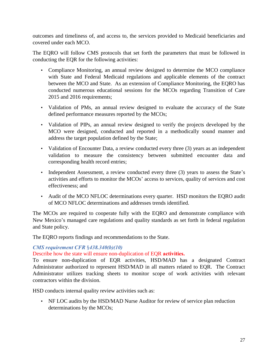outcomes and timeliness of, and access to, the services provided to Medicaid beneficiaries and covered under each MCO.

The EQRO will follow CMS protocols that set forth the parameters that must be followed in conducting the EQR for the following activities:

- Compliance Monitoring, an annual review designed to determine the MCO compliance with State and Federal Medicaid regulations and applicable elements of the contract between the MCO and State. As an extension of Compliance Monitoring, the EQRO has conducted numerous educational sessions for the MCOs regarding Transition of Care 2015 and 2016 requirements;
- Validation of PMs, an annual review designed to evaluate the accuracy of the State defined performance measures reported by the MCOs;
- Validation of PIPs, an annual review designed to verify the projects developed by the MCO were designed, conducted and reported in a methodically sound manner and address the target population defined by the State;
- Validation of Encounter Data, a review conducted every three (3) years as an independent validation to measure the consistency between submitted encounter data and corresponding health record entries;
- Independent Assessment, a review conducted every three (3) years to assess the State's activities and efforts to monitor the MCOs' access to services, quality of services and cost effectiveness; and
- Audit of the MCO NFLOC determinations every quarter. HSD monitors the EQRO audit of MCO NFLOC determinations and addresses trends identified.

The MCOs are required to cooperate fully with the EQRO and demonstrate compliance with New Mexico's managed care regulations and quality standards as set forth in federal regulation and State policy.

The EQRO reports findings and recommendations to the State.

#### *CMS requirement CFR* §*438.340(b)(10)*

## Describe how the state will ensure non-duplication of EQR **activities.**

To ensure non-duplication of EQR activities, HSD/MAD has a designated Contract Administrator authorized to represent HSD/MAD in all matters related to EQR. The Contract Administrator utilizes tracking sheets to monitor scope of work activities with relevant contractors within the division.

HSD conducts internal quality review activities such as:

• NF LOC audits by the HSD/MAD Nurse Auditor for review of service plan reduction determinations by the MCOs;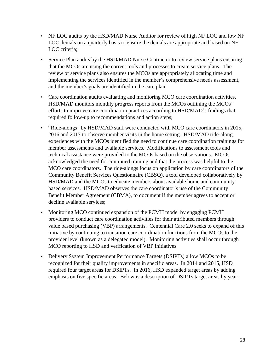- NF LOC audits by the HSD/MAD Nurse Auditor for review of high NF LOC and low NF LOC denials on a quarterly basis to ensure the denials are appropriate and based on NF LOC criteria;
- Service Plan audits by the HSD/MAD Nurse Contractor to review service plans ensuring that the MCOs are using the correct tools and processes to create service plans. The review of service plans also ensures the MCOs are appropriately allocating time and implementing the services identified in the member's comprehensive needs assessment, and the member's goals are identified in the care plan;
- Care coordination audits evaluating and monitoring MCO care coordination activities. HSD/MAD monitors monthly progress reports from the MCOs outlining the MCOs' efforts to improve care coordination practices according to HSD/MAD's findings that required follow-up to recommendations and action steps;
- "Ride-alongs" by HSD/MAD staff were conducted with MCO care coordinators in 2015, 2016 and 2017 to observe member visits in the home setting. HSD/MAD ride-along experiences with the MCOs identified the need to continue care coordination trainings for member assessments and available services. Modifications to assessment tools and technical assistance were provided to the MCOs based on the observations. MCOs acknowledged the need for continued training and that the process was helpful to the MCO care coordinators. The ride-alongs focus on application by care coordinators of the Community Benefit Services Questionnaire (CBSQ), a tool developed collaboratively by HSD/MAD and the MCOs to educate members about available home and community based services. HSD/MAD observes the care coordinator's use of the Community Benefit Member Agreement (CBMA), to document if the member agrees to accept or decline available services;
- Monitoring MCO continued expansion of the PCMH model by engaging PCMH providers to conduct care coordination activities for their attributed members through value based purchasing (VBP) arrangements. Centennial Care 2.0 seeks to expand of this initiative by continuing to transition care coordination functions from the MCOs to the provider level (known as a delegated model). Monitoring activities shall occur through MCO reporting to HSD and verification of VBP initiatives.
- Delivery System Improvement Performance Targets (DSIPTs) allow MCOs to be recognized for their quality improvements in specific areas. In 2014 and 2015, HSD required four target areas for DSIPTs. In 2016, HSD expanded target areas by adding emphasis on five specific areas. Below is a description of DSIPTs target areas by year: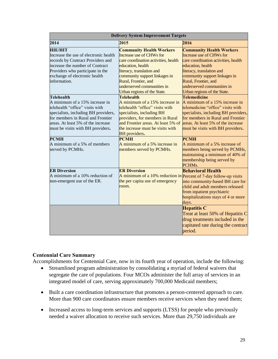| <b>Delivery System Improvement Targets</b>                                                                                                                                                                                                                                                                        |                                                                                                                                                                                                                                                                                                                               |                                                                                                                                                                                                                                                                                                                               |  |  |  |  |
|-------------------------------------------------------------------------------------------------------------------------------------------------------------------------------------------------------------------------------------------------------------------------------------------------------------------|-------------------------------------------------------------------------------------------------------------------------------------------------------------------------------------------------------------------------------------------------------------------------------------------------------------------------------|-------------------------------------------------------------------------------------------------------------------------------------------------------------------------------------------------------------------------------------------------------------------------------------------------------------------------------|--|--|--|--|
| 2014                                                                                                                                                                                                                                                                                                              | 2015                                                                                                                                                                                                                                                                                                                          | 2016                                                                                                                                                                                                                                                                                                                          |  |  |  |  |
| <b>HIE/HIT</b><br>Increase the use of electronic health<br>records by Contract Providers and<br>increase the number of Contract<br>Providers who participate in the<br>exchange of electronic health<br>information.                                                                                              | <b>Community Health Workers</b><br>Increase use of CHWs for<br>care coordination activities, health<br>education, health<br>literacy, translation and<br>community support linkages in<br>Rural, Frontier, and<br>underserved communities in<br>Urban regions of the State.                                                   | <b>Community Health Workers</b><br>Increase use of CHWs for<br>care coordination activities, health<br>education, health<br>literacy, translation and<br>community support linkages in<br>Rural, Frontier, and<br>underserved communities in<br>Urban regions of the State.                                                   |  |  |  |  |
| <b>Telehealth</b><br>A minimum of a 15% increase in<br>telehealth "office" visits with<br>specialists, including BH providers,<br>for members in Rural and Frontier<br>areas. At least 5% of the increase<br>must be visits with BH providers.<br><b>PCMH</b><br>A minimum of a 5% of members<br>served by PCMHs. | Telehealth<br>A minimum of a 15% increase in<br>telehealth "office" visits with<br>specialists, including BH<br>providers, for members in Rural<br>and Frontier areas. At least 5% of<br>the increase must be visits with<br><b>BH</b> providers.<br><b>PCMH</b><br>A minimum of a 5% increase in<br>members served by PCMHs. | Telemedicine<br>A minimum of a 15% increase in<br>telemedicine "office" visits with<br>specialists, including BH providers,<br>for members in Rural and Frontier<br>areas. At least 5% of the increase<br>must be visits with BH providers.<br><b>PCMH</b><br>A minimum of a 5% increase of<br>members being served by PCMHs, |  |  |  |  |
| <b>ER Diversion</b><br>A minimum of a 10% reduction of<br>non-emergent use of the ER.                                                                                                                                                                                                                             | <b>ER Diversion</b><br>A minimum of a $10\%$ reduction in Percent of 7-day follow-up visits<br>the per capita use of emergency<br>room.                                                                                                                                                                                       | maintaining a minimum of 40% of<br>membership being served by<br>PCHM <sub>s</sub> .<br><b>Behavioral Health</b><br>into community-based BH care for<br>child and adult members released<br>from inpatient psychiatric<br>hospitalizations stays of 4 or more<br>days.                                                        |  |  |  |  |
|                                                                                                                                                                                                                                                                                                                   |                                                                                                                                                                                                                                                                                                                               | <b>Hepatitis C</b><br>Treat at least 50% of Hepatitis C<br>drug treatments included in the<br>capitated rate during the contract<br>period.                                                                                                                                                                                   |  |  |  |  |

## **Centennial Care Summary**

Accomplishments for Centennial Care, now in its fourth year of operation, include the following:

- Streamlined program administration by consolidating a myriad of federal waivers that segregate the care of populations. Four MCOs administer the full array of services in an integrated model of care, serving approximately 700,000 Medicaid members;
- Built a care coordination infrastructure that promotes a person-centered approach to care. More than 900 care coordinators ensure members receive services when they need them;
- Increased access to long-term services and supports (LTSS) for people who previously needed a waiver allocation to receive such services. More than 29,750 individuals are